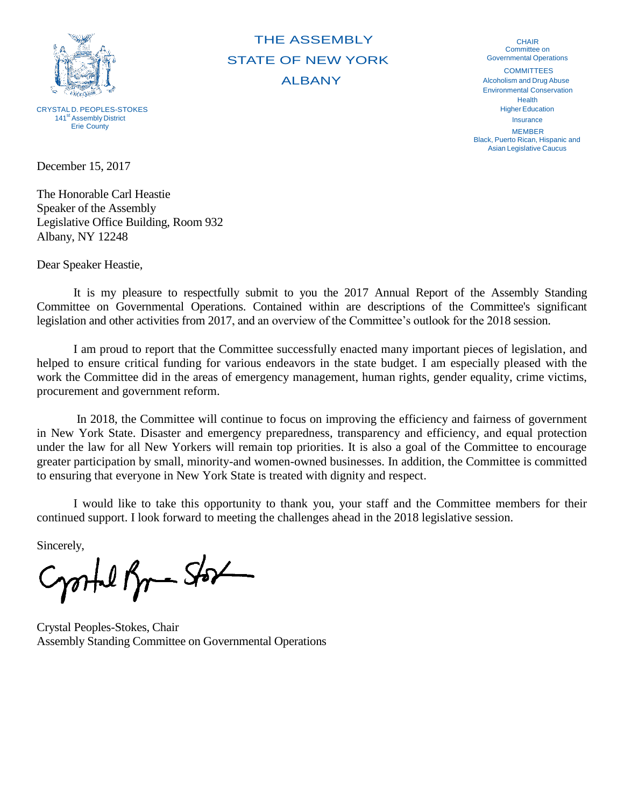

CRYSTAL D. PEOPLES-STOKES 141<sup>st</sup> Assembly District Erie County

THE ASSEMBLY STATE OF NEW YORK ALBANY

CHAIR Committee on Governmental Operations **COMMITTEES** Alcoholism and Drug Abuse Environmental Conservation Health **Higher Education** Insurance MEMBER

Black, Puerto Rican, Hispanic and Asian Legislative Caucus

December 15, 2017

The Honorable Carl Heastie Speaker of the Assembly Legislative Office Building, Room 932 Albany, NY 12248

Dear Speaker Heastie,

It is my pleasure to respectfully submit to you the 2017 Annual Report of the Assembly Standing Committee on Governmental Operations. Contained within are descriptions of the Committee's significant legislation and other activities from 2017, and an overview of the Committee's outlook for the 2018 session.

I am proud to report that the Committee successfully enacted many important pieces of legislation, and helped to ensure critical funding for various endeavors in the state budget. I am especially pleased with the work the Committee did in the areas of emergency management, human rights, gender equality, crime victims, procurement and government reform.

In 2018, the Committee will continue to focus on improving the efficiency and fairness of government in New York State. Disaster and emergency preparedness, transparency and efficiency, and equal protection under the law for all New Yorkers will remain top priorities. It is also a goal of the Committee to encourage greater participation by small, minority-and women-owned businesses. In addition, the Committee is committed to ensuring that everyone in New York State is treated with dignity and respect.

I would like to take this opportunity to thank you, your staff and the Committee members for their continued support. I look forward to meeting the challenges ahead in the 2018 legislative session.

Sincerely,

Crostel Br-Stor

Crystal Peoples-Stokes, Chair Assembly Standing Committee on Governmental Operations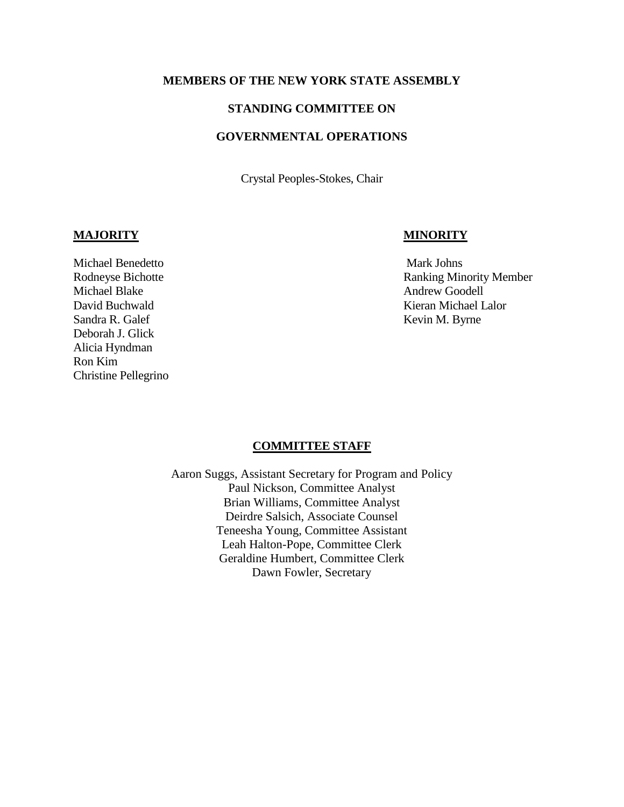#### **MEMBERS OF THE NEW YORK STATE ASSEMBLY**

#### **STANDING COMMITTEE ON**

## **GOVERNMENTAL OPERATIONS**

Crystal Peoples-Stokes, Chair

#### **MAJORITY MINORITY**

Michael Benedetto **Mark Johns** Mark Johns Michael Blake Andrew Goodell Sandra R. Galef Kevin M. Byrne Deborah J. Glick Alicia Hyndman Ron Kim Christine Pellegrino

Rodneyse Bichotte **Ranking Minority Member** David Buchwald Kieran Michael Lalor

#### **COMMITTEE STAFF**

Aaron Suggs, Assistant Secretary for Program and Policy Paul Nickson, Committee Analyst Brian Williams, Committee Analyst Deirdre Salsich, Associate Counsel Teneesha Young, Committee Assistant Leah Halton-Pope, Committee Clerk Geraldine Humbert, Committee Clerk Dawn Fowler, Secretary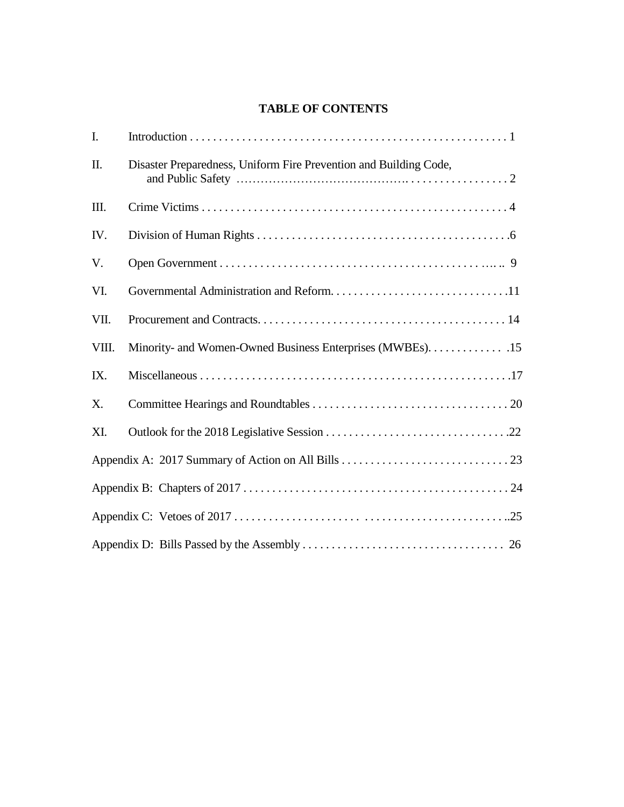# **TABLE OF CONTENTS**

| I.    |                                                                   |
|-------|-------------------------------------------------------------------|
| II.   | Disaster Preparedness, Uniform Fire Prevention and Building Code, |
| III.  |                                                                   |
| IV.   |                                                                   |
| V.    |                                                                   |
| VI.   |                                                                   |
| VII.  |                                                                   |
| VIII. | Minority- and Women-Owned Business Enterprises (MWBEs). 15        |
| IX.   |                                                                   |
| X.    |                                                                   |
| XI.   |                                                                   |
|       |                                                                   |
|       |                                                                   |
|       |                                                                   |
|       |                                                                   |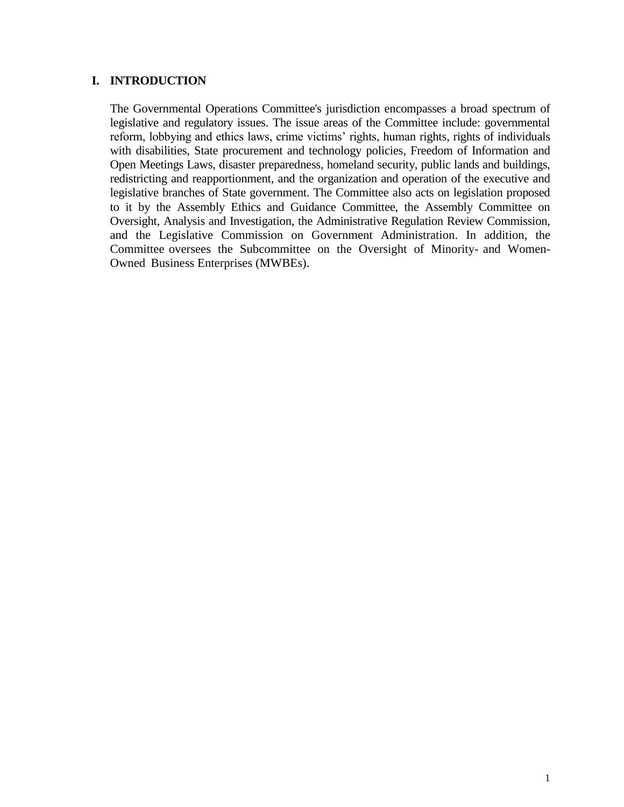## **I. INTRODUCTION**

The Governmental Operations Committee's jurisdiction encompasses a broad spectrum of legislative and regulatory issues. The issue areas of the Committee include: governmental reform, lobbying and ethics laws, crime victims' rights, human rights, rights of individuals with disabilities, State procurement and technology policies, Freedom of Information and Open Meetings Laws, disaster preparedness, homeland security, public lands and buildings, redistricting and reapportionment, and the organization and operation of the executive and legislative branches of State government. The Committee also acts on legislation proposed to it by the Assembly Ethics and Guidance Committee, the Assembly Committee on Oversight, Analysis and Investigation, the Administrative Regulation Review Commission, and the Legislative Commission on Government Administration. In addition, the Committee oversees the Subcommittee on the Oversight of Minority- and Women-Owned Business Enterprises (MWBEs).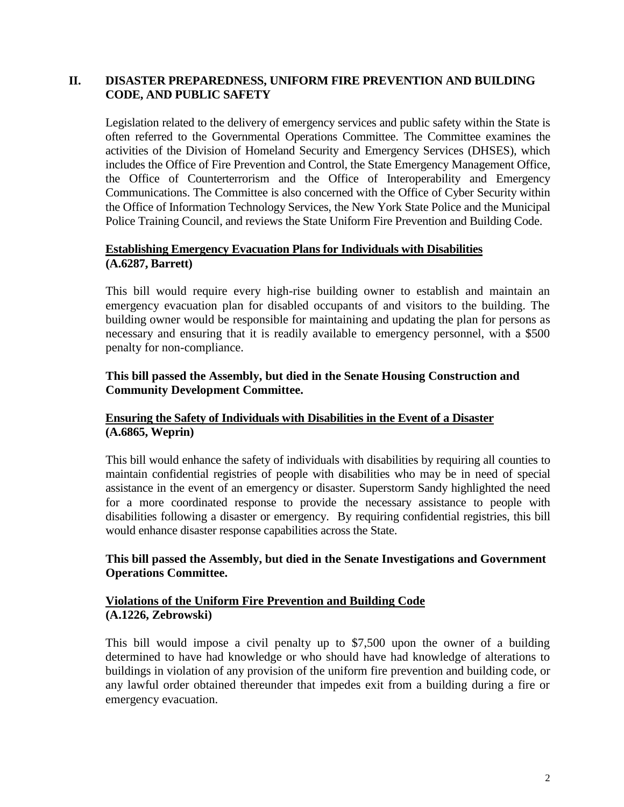## **II. DISASTER PREPAREDNESS, UNIFORM FIRE PREVENTION AND BUILDING CODE, AND PUBLIC SAFETY**

Legislation related to the delivery of emergency services and public safety within the State is often referred to the Governmental Operations Committee. The Committee examines the activities of the Division of Homeland Security and Emergency Services (DHSES), which includes the Office of Fire Prevention and Control, the State Emergency Management Office, the Office of Counterterrorism and the Office of Interoperability and Emergency Communications. The Committee is also concerned with the Office of Cyber Security within the Office of Information Technology Services, the New York State Police and the Municipal Police Training Council, and reviews the State Uniform Fire Prevention and Building Code.

## **Establishing Emergency Evacuation Plans for Individuals with Disabilities (A.6287, Barrett)**

This bill would require every high-rise building owner to establish and maintain an emergency evacuation plan for disabled occupants of and visitors to the building. The building owner would be responsible for maintaining and updating the plan for persons as necessary and ensuring that it is readily available to emergency personnel, with a \$500 penalty for non-compliance.

## **This bill passed the Assembly, but died in the Senate Housing Construction and Community Development Committee.**

## **Ensuring the Safety of Individuals with Disabilities in the Event of a Disaster (A.6865, Weprin)**

This bill would enhance the safety of individuals with disabilities by requiring all counties to maintain confidential registries of people with disabilities who may be in need of special assistance in the event of an emergency or disaster. Superstorm Sandy highlighted the need for a more coordinated response to provide the necessary assistance to people with disabilities following a disaster or emergency. By requiring confidential registries, this bill would enhance disaster response capabilities across the State.

## **This bill passed the Assembly, but died in the Senate Investigations and Government Operations Committee.**

## **Violations of the Uniform Fire Prevention and Building Code (A.1226, Zebrowski)**

This bill would impose a civil penalty up to \$7,500 upon the owner of a building determined to have had knowledge or who should have had knowledge of alterations to buildings in violation of any provision of the uniform fire prevention and building code, or any lawful order obtained thereunder that impedes exit from a building during a fire or emergency evacuation.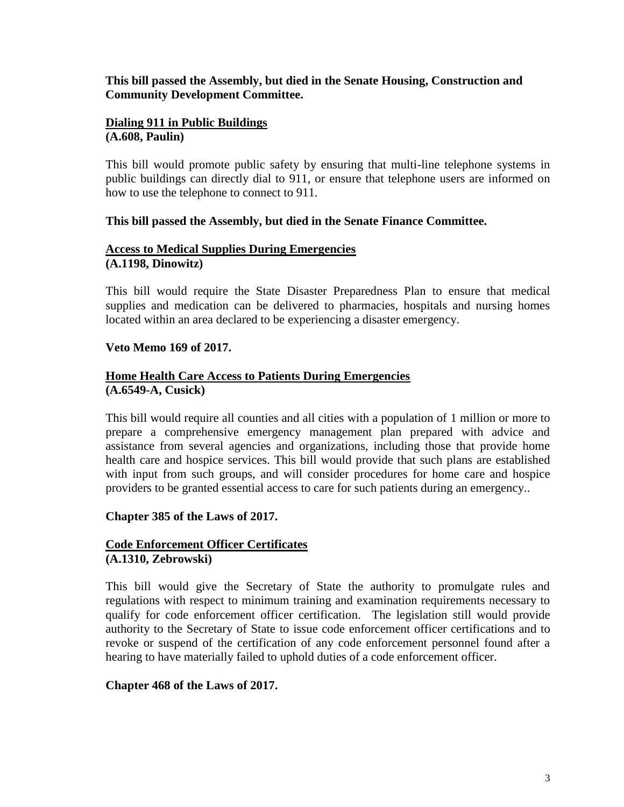#### **This bill passed the Assembly, but died in the Senate Housing, Construction and Community Development Committee.**

#### **Dialing 911 in Public Buildings (A.608, Paulin)**

This bill would promote public safety by ensuring that multi-line telephone systems in public buildings can directly dial to 911, or ensure that telephone users are informed on how to use the telephone to connect to 911.

#### **This bill passed the Assembly, but died in the Senate Finance Committee.**

## **Access to Medical Supplies During Emergencies (A.1198, Dinowitz)**

This bill would require the State Disaster Preparedness Plan to ensure that medical supplies and medication can be delivered to pharmacies, hospitals and nursing homes located within an area declared to be experiencing a disaster emergency.

## **Veto Memo 169 of 2017.**

## **Home Health Care Access to Patients During Emergencies (A.6549-A, Cusick)**

This bill would require all counties and all cities with a population of 1 million or more to prepare a comprehensive emergency management plan prepared with advice and assistance from several agencies and organizations, including those that provide home health care and hospice services. This bill would provide that such plans are established with input from such groups, and will consider procedures for home care and hospice providers to be granted essential access to care for such patients during an emergency..

## **Chapter 385 of the Laws of 2017.**

## **Code Enforcement Officer Certificates (A.1310, Zebrowski)**

This bill would give the Secretary of State the authority to promulgate rules and regulations with respect to minimum training and examination requirements necessary to qualify for code enforcement officer certification. The legislation still would provide authority to the Secretary of State to issue code enforcement officer certifications and to revoke or suspend of the certification of any code enforcement personnel found after a hearing to have materially failed to uphold duties of a code enforcement officer.

## **Chapter 468 of the Laws of 2017.**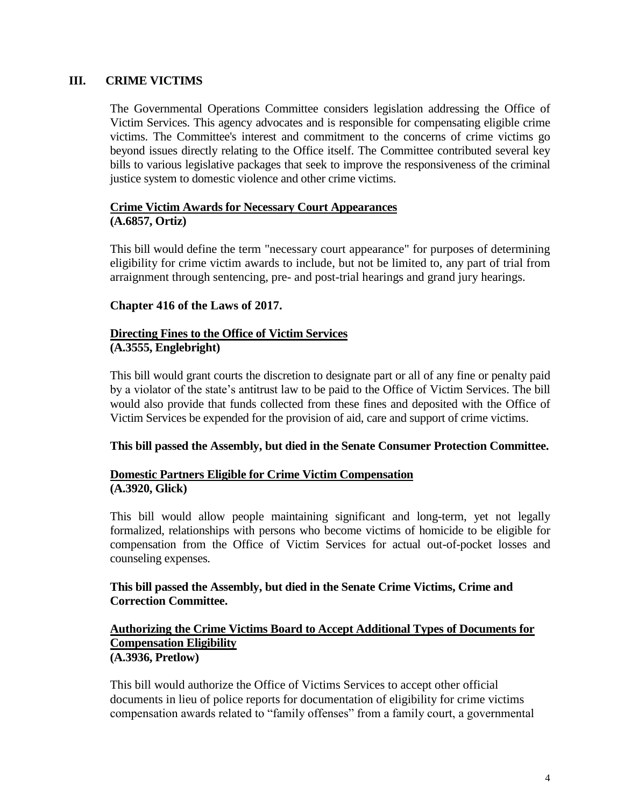## **III. CRIME VICTIMS**

The Governmental Operations Committee considers legislation addressing the Office of Victim Services. This agency advocates and is responsible for compensating eligible crime victims. The Committee's interest and commitment to the concerns of crime victims go beyond issues directly relating to the Office itself. The Committee contributed several key bills to various legislative packages that seek to improve the responsiveness of the criminal justice system to domestic violence and other crime victims.

### **Crime Victim Awards for Necessary Court Appearances (A.6857, Ortiz)**

This bill would define the term "necessary court appearance" for purposes of determining eligibility for crime victim awards to include, but not be limited to, any part of trial from arraignment through sentencing, pre- and post-trial hearings and grand jury hearings.

#### **Chapter 416 of the Laws of 2017.**

#### **Directing Fines to the Office of Victim Services (A.3555, Englebright)**

This bill would grant courts the discretion to designate part or all of any fine or penalty paid by a violator of the state's antitrust law to be paid to the Office of Victim Services. The bill would also provide that funds collected from these fines and deposited with the Office of Victim Services be expended for the provision of aid, care and support of crime victims.

#### **This bill passed the Assembly, but died in the Senate Consumer Protection Committee.**

## **Domestic Partners Eligible for Crime Victim Compensation (A.3920, Glick)**

This bill would allow people maintaining significant and long-term, yet not legally formalized, relationships with persons who become victims of homicide to be eligible for compensation from the Office of Victim Services for actual out-of-pocket losses and counseling expenses.

## **This bill passed the Assembly, but died in the Senate Crime Victims, Crime and Correction Committee.**

#### **Authorizing the Crime Victims Board to Accept Additional Types of Documents for Compensation Eligibility (A.3936, Pretlow)**

This bill would authorize the Office of Victims Services to accept other official documents in lieu of police reports for documentation of eligibility for crime victims compensation awards related to "family offenses" from a family court, a governmental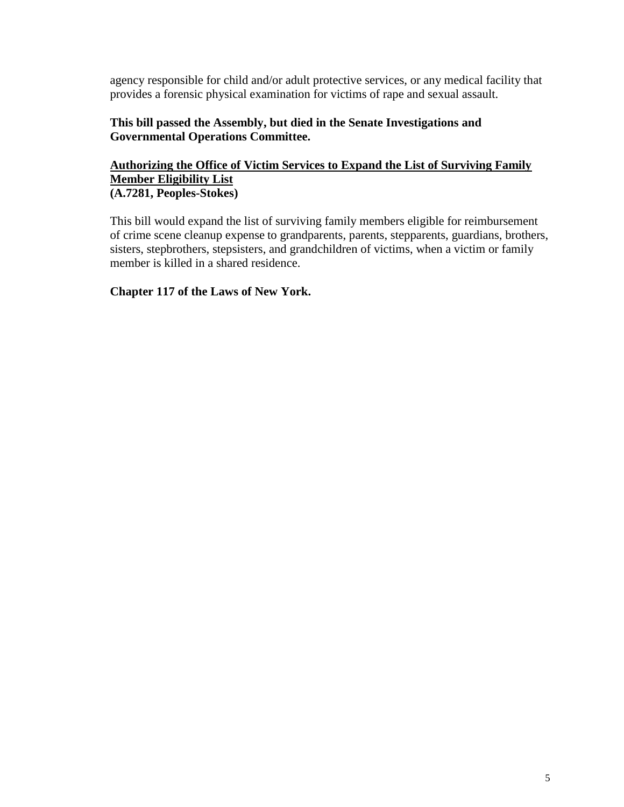agency responsible for child and/or adult protective services, or any medical facility that provides a forensic physical examination for victims of rape and sexual assault.

## **This bill passed the Assembly, but died in the Senate Investigations and Governmental Operations Committee.**

## **Authorizing the Office of Victim Services to Expand the List of Surviving Family Member Eligibility List (A.7281, Peoples-Stokes)**

This bill would expand the list of surviving family members eligible for reimbursement of crime scene cleanup expense to grandparents, parents, stepparents, guardians, brothers, sisters, stepbrothers, stepsisters, and grandchildren of victims, when a victim or family member is killed in a shared residence.

## **Chapter 117 of the Laws of New York.**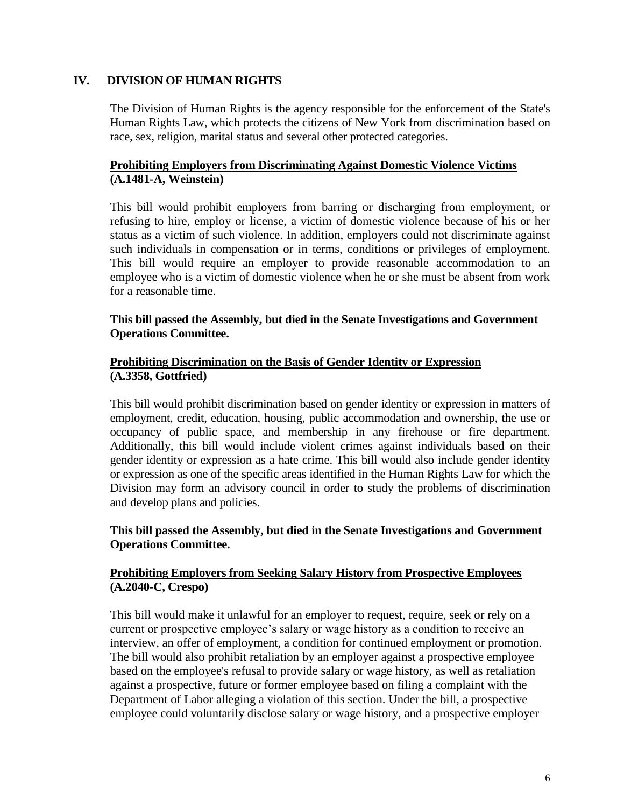## **IV. DIVISION OF HUMAN RIGHTS**

The Division of Human Rights is the agency responsible for the enforcement of the State's Human Rights Law, which protects the citizens of New York from discrimination based on race, sex, religion, marital status and several other protected categories.

## **Prohibiting Employers from Discriminating Against Domestic Violence Victims (A.1481-A, Weinstein)**

This bill would prohibit employers from barring or discharging from employment, or refusing to hire, employ or license, a victim of domestic violence because of his or her status as a victim of such violence. In addition, employers could not discriminate against such individuals in compensation or in terms, conditions or privileges of employment. This bill would require an employer to provide reasonable accommodation to an employee who is a victim of domestic violence when he or she must be absent from work for a reasonable time.

#### **This bill passed the Assembly, but died in the Senate Investigations and Government Operations Committee.**

#### **Prohibiting Discrimination on the Basis of Gender Identity or Expression (A.3358, Gottfried)**

This bill would prohibit discrimination based on gender identity or expression in matters of employment, credit, education, housing, public accommodation and ownership, the use or occupancy of public space, and membership in any firehouse or fire department. Additionally, this bill would include violent crimes against individuals based on their gender identity or expression as a hate crime. This bill would also include gender identity or expression as one of the specific areas identified in the Human Rights Law for which the Division may form an advisory council in order to study the problems of discrimination and develop plans and policies.

## **This bill passed the Assembly, but died in the Senate Investigations and Government Operations Committee.**

## **Prohibiting Employers from Seeking Salary History from Prospective Employees (A.2040-C, Crespo)**

This bill would make it unlawful for an employer to request, require, seek or rely on a current or prospective employee's salary or wage history as a condition to receive an interview, an offer of employment, a condition for continued employment or promotion. The bill would also prohibit retaliation by an employer against a prospective employee based on the employee's refusal to provide salary or wage history, as well as retaliation against a prospective, future or former employee based on filing a complaint with the Department of Labor alleging a violation of this section. Under the bill, a prospective employee could voluntarily disclose salary or wage history, and a prospective employer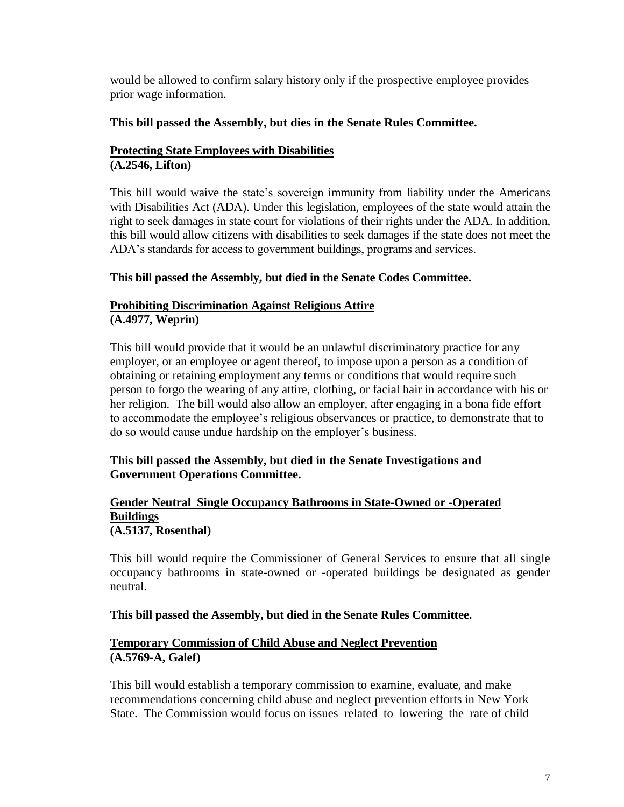would be allowed to confirm salary history only if the prospective employee provides prior wage information.

## **This bill passed the Assembly, but dies in the Senate Rules Committee.**

## **Protecting State Employees with Disabilities (A.2546, Lifton)**

This bill would waive the state's sovereign immunity from liability under the Americans with Disabilities Act (ADA). Under this legislation, employees of the state would attain the right to seek damages in state court for violations of their rights under the ADA. In addition, this bill would allow citizens with disabilities to seek damages if the state does not meet the ADA's standards for access to government buildings, programs and services.

## **This bill passed the Assembly, but died in the Senate Codes Committee.**

## **Prohibiting Discrimination Against Religious Attire (A.4977, Weprin)**

This bill would provide that it would be an unlawful discriminatory practice for any employer, or an employee or agent thereof, to impose upon a person as a condition of obtaining or retaining employment any terms or conditions that would require such person to forgo the wearing of any attire, clothing, or facial hair in accordance with his or her religion. The bill would also allow an employer, after engaging in a bona fide effort to accommodate the employee's religious observances or practice, to demonstrate that to do so would cause undue hardship on the employer's business.

## **This bill passed the Assembly, but died in the Senate Investigations and Government Operations Committee.**

#### **Gender Neutral Single Occupancy Bathrooms in State-Owned or -Operated Buildings (A.5137, Rosenthal)**

This bill would require the Commissioner of General Services to ensure that all single occupancy bathrooms in state-owned or -operated buildings be designated as gender neutral.

#### **This bill passed the Assembly, but died in the Senate Rules Committee.**

## **Temporary Commission of Child Abuse and Neglect Prevention (A.5769-A, Galef)**

This bill would establish a temporary commission to examine, evaluate, and make recommendations concerning child abuse and neglect prevention efforts in New York State. The Commission would focus on issues related to lowering the rate of child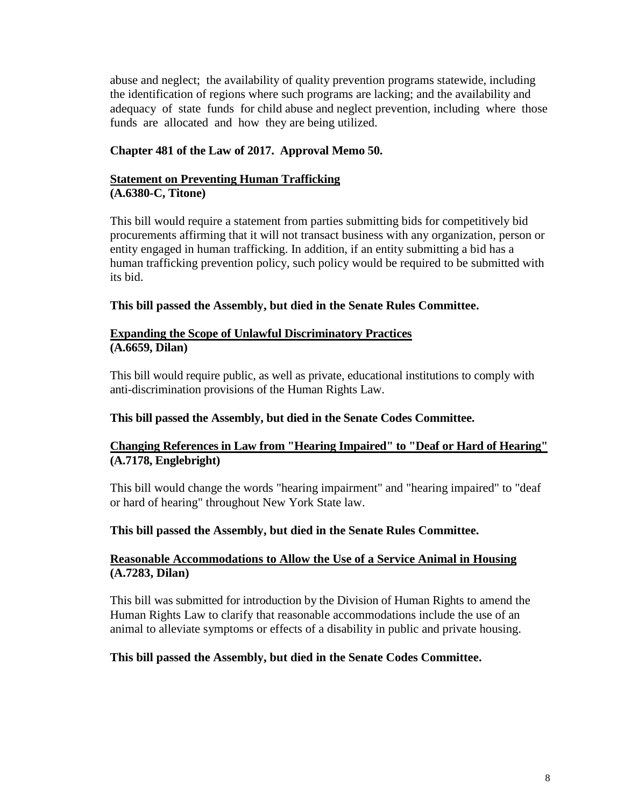abuse and neglect; the availability of quality prevention programs statewide, including the identification of regions where such programs are lacking; and the availability and adequacy of state funds for child abuse and neglect prevention, including where those funds are allocated and how they are being utilized.

## **Chapter 481 of the Law of 2017. Approval Memo 50.**

#### **Statement on Preventing Human Trafficking (A.6380-C, Titone)**

This bill would require a statement from parties submitting bids for competitively bid procurements affirming that it will not transact business with any organization, person or entity engaged in human trafficking. In addition, if an entity submitting a bid has a human trafficking prevention policy, such policy would be required to be submitted with its bid.

## **This bill passed the Assembly, but died in the Senate Rules Committee.**

#### **Expanding the Scope of Unlawful Discriminatory Practices (A.6659, Dilan)**

This bill would require public, as well as private, educational institutions to comply with anti-discrimination provisions of the Human Rights Law.

## **This bill passed the Assembly, but died in the Senate Codes Committee.**

## **Changing References in Law from "Hearing Impaired" to "Deaf or Hard of Hearing" (A.7178, Englebright)**

This bill would change the words "hearing impairment" and "hearing impaired" to "deaf or hard of hearing" throughout New York State law.

#### **This bill passed the Assembly, but died in the Senate Rules Committee.**

## **Reasonable Accommodations to Allow the Use of a Service Animal in Housing (A.7283, Dilan)**

This bill was submitted for introduction by the Division of Human Rights to amend the Human Rights Law to clarify that reasonable accommodations include the use of an animal to alleviate symptoms or effects of a disability in public and private housing.

#### **This bill passed the Assembly, but died in the Senate Codes Committee.**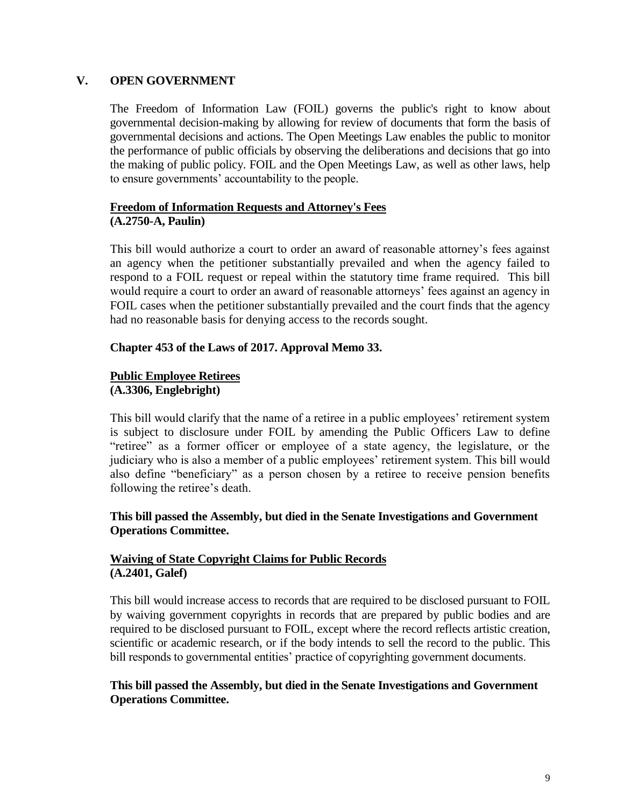#### **V. OPEN GOVERNMENT**

The Freedom of Information Law (FOIL) governs the public's right to know about governmental decision-making by allowing for review of documents that form the basis of governmental decisions and actions. The Open Meetings Law enables the public to monitor the performance of public officials by observing the deliberations and decisions that go into the making of public policy. FOIL and the Open Meetings Law, as well as other laws, help to ensure governments' accountability to the people.

## **Freedom of Information Requests and Attorney's Fees (A.2750-A, Paulin)**

This bill would authorize a court to order an award of reasonable attorney's fees against an agency when the petitioner substantially prevailed and when the agency failed to respond to a FOIL request or repeal within the statutory time frame required. This bill would require a court to order an award of reasonable attorneys' fees against an agency in FOIL cases when the petitioner substantially prevailed and the court finds that the agency had no reasonable basis for denying access to the records sought.

#### **Chapter 453 of the Laws of 2017. Approval Memo 33.**

#### **Public Employee Retirees (A.3306, Englebright)**

This bill would clarify that the name of a retiree in a public employees' retirement system is subject to disclosure under FOIL by amending the Public Officers Law to define "retiree" as a former officer or employee of a state agency, the legislature, or the judiciary who is also a member of a public employees' retirement system. This bill would also define "beneficiary" as a person chosen by a retiree to receive pension benefits following the retiree's death.

## **This bill passed the Assembly, but died in the Senate Investigations and Government Operations Committee.**

## **Waiving of State Copyright Claims for Public Records (A.2401, Galef)**

This bill would increase access to records that are required to be disclosed pursuant to FOIL by waiving government copyrights in records that are prepared by public bodies and are required to be disclosed pursuant to FOIL, except where the record reflects artistic creation, scientific or academic research, or if the body intends to sell the record to the public. This bill responds to governmental entities' practice of copyrighting government documents.

## **This bill passed the Assembly, but died in the Senate Investigations and Government Operations Committee.**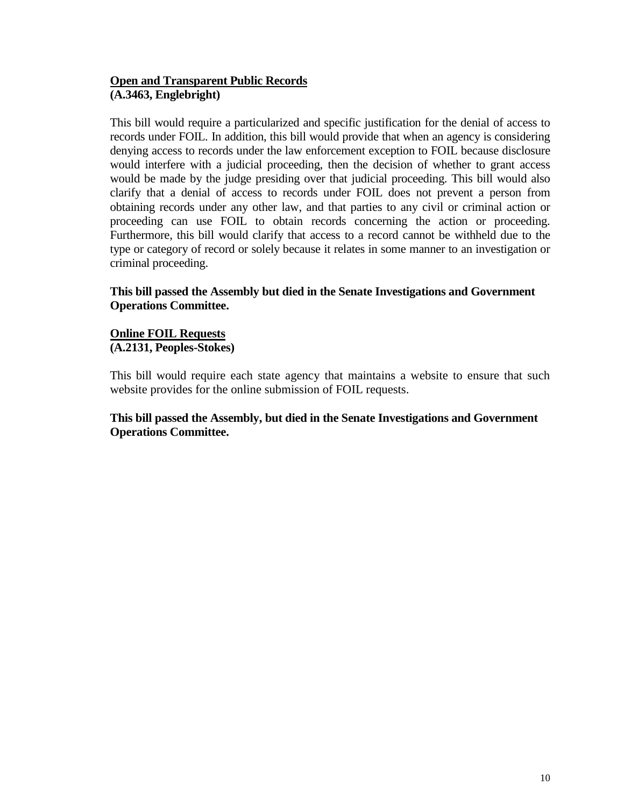## **Open and Transparent Public Records (A.3463, Englebright)**

This bill would require a particularized and specific justification for the denial of access to records under FOIL. In addition, this bill would provide that when an agency is considering denying access to records under the law enforcement exception to FOIL because disclosure would interfere with a judicial proceeding, then the decision of whether to grant access would be made by the judge presiding over that judicial proceeding. This bill would also clarify that a denial of access to records under FOIL does not prevent a person from obtaining records under any other law, and that parties to any civil or criminal action or proceeding can use FOIL to obtain records concerning the action or proceeding. Furthermore, this bill would clarify that access to a record cannot be withheld due to the type or category of record or solely because it relates in some manner to an investigation or criminal proceeding.

## **This bill passed the Assembly but died in the Senate Investigations and Government Operations Committee.**

## **Online FOIL Requests (A.2131, Peoples-Stokes)**

This bill would require each state agency that maintains a website to ensure that such website provides for the online submission of FOIL requests.

## **This bill passed the Assembly, but died in the Senate Investigations and Government Operations Committee.**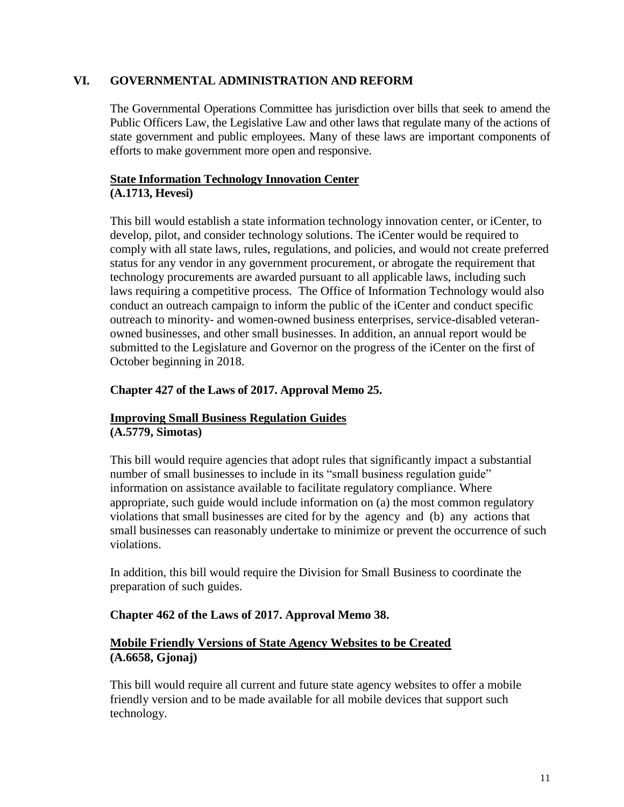## **VI. GOVERNMENTAL ADMINISTRATION AND REFORM**

The Governmental Operations Committee has jurisdiction over bills that seek to amend the Public Officers Law, the Legislative Law and other laws that regulate many of the actions of state government and public employees. Many of these laws are important components of efforts to make government more open and responsive.

## **State Information Technology Innovation Center (A.1713, Hevesi)**

This bill would establish a state information technology innovation center, or iCenter, to develop, pilot, and consider technology solutions. The iCenter would be required to comply with all state laws, rules, regulations, and policies, and would not create preferred status for any vendor in any government procurement, or abrogate the requirement that technology procurements are awarded pursuant to all applicable laws, including such laws requiring a competitive process. The Office of Information Technology would also conduct an outreach campaign to inform the public of the iCenter and conduct specific outreach to minority- and women-owned business enterprises, service-disabled veteranowned businesses, and other small businesses. In addition, an annual report would be submitted to the Legislature and Governor on the progress of the iCenter on the first of October beginning in 2018.

## **Chapter 427 of the Laws of 2017. Approval Memo 25.**

# **Improving Small Business Regulation Guides**

**(A.5779, Simotas)**

This bill would require agencies that adopt rules that significantly impact a substantial number of small businesses to include in its "small business regulation guide" information on assistance available to facilitate regulatory compliance. Where appropriate, such guide would include information on (a) the most common regulatory violations that small businesses are cited for by the agency and (b) any actions that small businesses can reasonably undertake to minimize or prevent the occurrence of such violations.

In addition, this bill would require the Division for Small Business to coordinate the preparation of such guides.

#### **Chapter 462 of the Laws of 2017. Approval Memo 38.**

## **Mobile Friendly Versions of State Agency Websites to be Created (A.6658, Gjonaj)**

This bill would require all current and future state agency websites to offer a mobile friendly version and to be made available for all mobile devices that support such technology.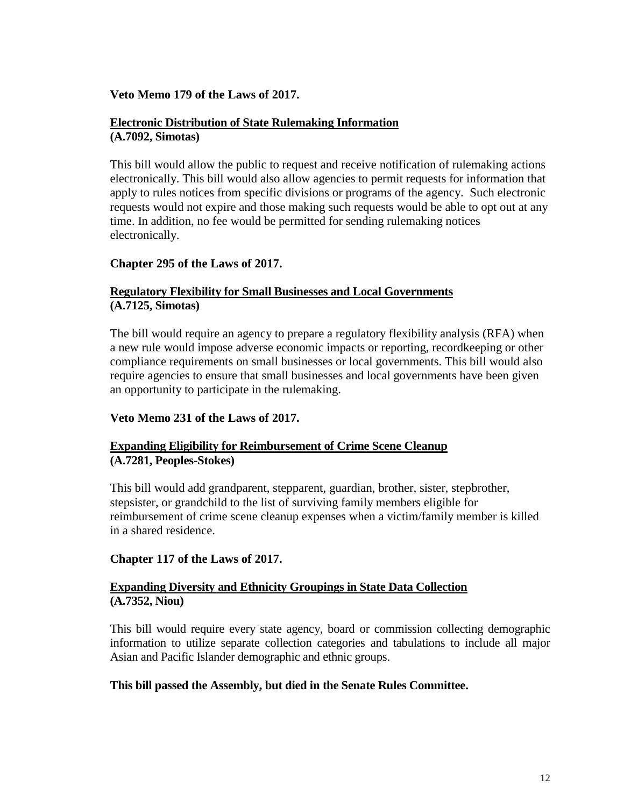#### **Veto Memo 179 of the Laws of 2017.**

#### **Electronic Distribution of State Rulemaking Information (A.7092, Simotas)**

This bill would allow the public to request and receive notification of rulemaking actions electronically. This bill would also allow agencies to permit requests for information that apply to rules notices from specific divisions or programs of the agency. Such electronic requests would not expire and those making such requests would be able to opt out at any time. In addition, no fee would be permitted for sending rulemaking notices electronically.

## **Chapter 295 of the Laws of 2017.**

## **Regulatory Flexibility for Small Businesses and Local Governments (A.7125, Simotas)**

The bill would require an agency to prepare a regulatory flexibility analysis (RFA) when a new rule would impose adverse economic impacts or reporting, recordkeeping or other compliance requirements on small businesses or local governments. This bill would also require agencies to ensure that small businesses and local governments have been given an opportunity to participate in the rulemaking.

#### **Veto Memo 231 of the Laws of 2017.**

## **Expanding Eligibility for Reimbursement of Crime Scene Cleanup (A.7281, Peoples-Stokes)**

This bill would add grandparent, stepparent, guardian, brother, sister, stepbrother, stepsister, or grandchild to the list of surviving family members eligible for reimbursement of crime scene cleanup expenses when a victim/family member is killed in a shared residence.

#### **Chapter 117 of the Laws of 2017.**

## **Expanding Diversity and Ethnicity Groupings in State Data Collection (A.7352, Niou)**

This bill would require every state agency, board or commission collecting demographic information to utilize separate collection categories and tabulations to include all major Asian and Pacific Islander demographic and ethnic groups.

#### **This bill passed the Assembly, but died in the Senate Rules Committee.**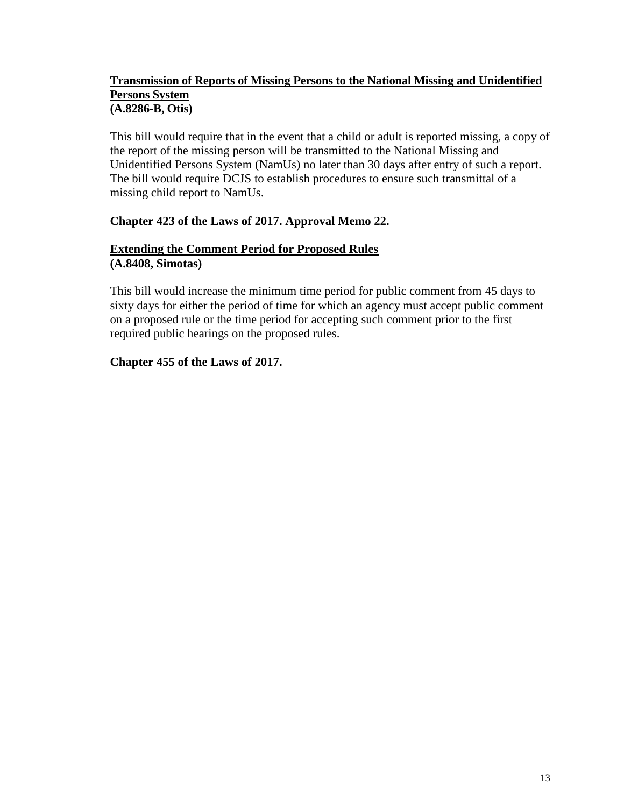## **Transmission of Reports of Missing Persons to the National Missing and Unidentified Persons System (A.8286-B, Otis)**

This bill would require that in the event that a child or adult is reported missing, a copy of the report of the missing person will be transmitted to the National Missing and Unidentified Persons System (NamUs) no later than 30 days after entry of such a report. The bill would require DCJS to establish procedures to ensure such transmittal of a missing child report to NamUs.

## **Chapter 423 of the Laws of 2017. Approval Memo 22.**

#### **Extending the Comment Period for Proposed Rules (A.8408, Simotas)**

This bill would increase the minimum time period for public comment from 45 days to sixty days for either the period of time for which an agency must accept public comment on a proposed rule or the time period for accepting such comment prior to the first required public hearings on the proposed rules.

## **Chapter 455 of the Laws of 2017.**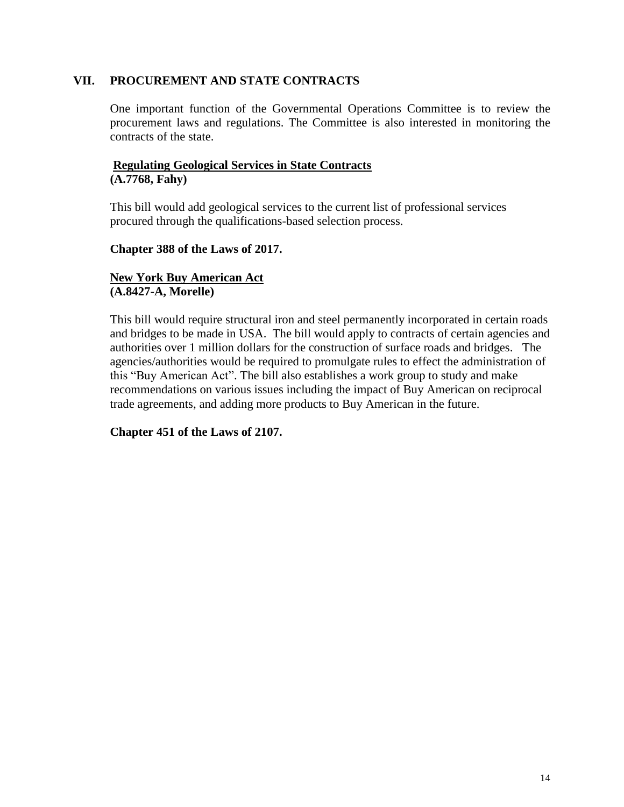### **VII. PROCUREMENT AND STATE CONTRACTS**

One important function of the Governmental Operations Committee is to review the procurement laws and regulations. The Committee is also interested in monitoring the contracts of the state.

## **Regulating Geological Services in State Contracts (A.7768, Fahy)**

This bill would add geological services to the current list of professional services procured through the qualifications-based selection process.

## **Chapter 388 of the Laws of 2017.**

## **New York Buy American Act (A.8427-A, Morelle)**

This bill would require structural iron and steel permanently incorporated in certain roads and bridges to be made in USA. The bill would apply to contracts of certain agencies and authorities over 1 million dollars for the construction of surface roads and bridges. The agencies/authorities would be required to promulgate rules to effect the administration of this "Buy American Act". The bill also establishes a work group to study and make recommendations on various issues including the impact of Buy American on reciprocal trade agreements, and adding more products to Buy American in the future.

## **Chapter 451 of the Laws of 2107.**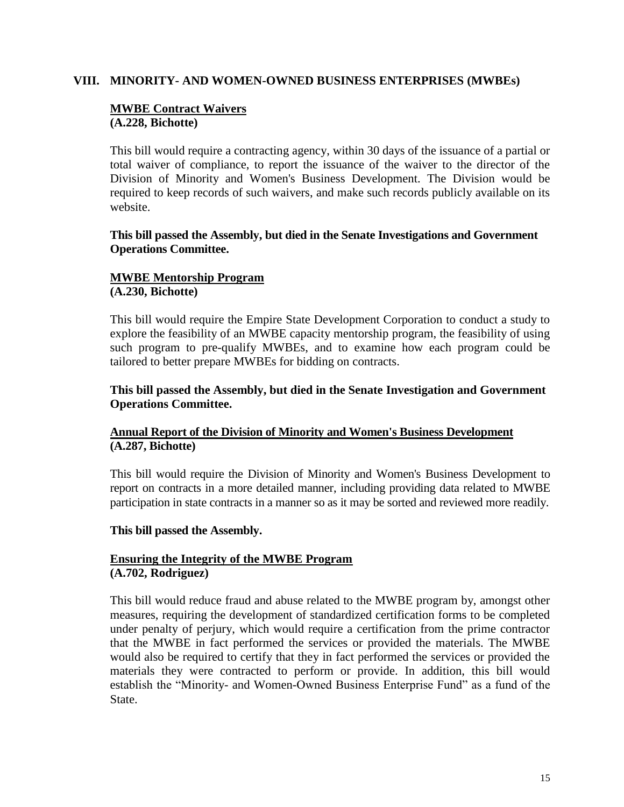#### **VIII. MINORITY- AND WOMEN-OWNED BUSINESS ENTERPRISES (MWBEs)**

#### **MWBE Contract Waivers (A.228, Bichotte)**

This bill would require a contracting agency, within 30 days of the issuance of a partial or total waiver of compliance, to report the issuance of the waiver to the director of the Division of Minority and Women's Business Development. The Division would be required to keep records of such waivers, and make such records publicly available on its website.

**This bill passed the Assembly, but died in the Senate Investigations and Government Operations Committee.**

## **MWBE Mentorship Program (A.230, Bichotte)**

This bill would require the Empire State Development Corporation to conduct a study to explore the feasibility of an MWBE capacity mentorship program, the feasibility of using such program to pre-qualify MWBEs, and to examine how each program could be tailored to better prepare MWBEs for bidding on contracts.

### **This bill passed the Assembly, but died in the Senate Investigation and Government Operations Committee.**

## **Annual Report of the Division of Minority and Women's Business Development (A.287, Bichotte)**

This bill would require the Division of Minority and Women's Business Development to report on contracts in a more detailed manner, including providing data related to MWBE participation in state contracts in a manner so as it may be sorted and reviewed more readily.

#### **This bill passed the Assembly.**

## **Ensuring the Integrity of the MWBE Program (A.702, Rodriguez)**

This bill would reduce fraud and abuse related to the MWBE program by, amongst other measures, requiring the development of standardized certification forms to be completed under penalty of perjury, which would require a certification from the prime contractor that the MWBE in fact performed the services or provided the materials. The MWBE would also be required to certify that they in fact performed the services or provided the materials they were contracted to perform or provide. In addition, this bill would establish the "Minority- and Women-Owned Business Enterprise Fund" as a fund of the State.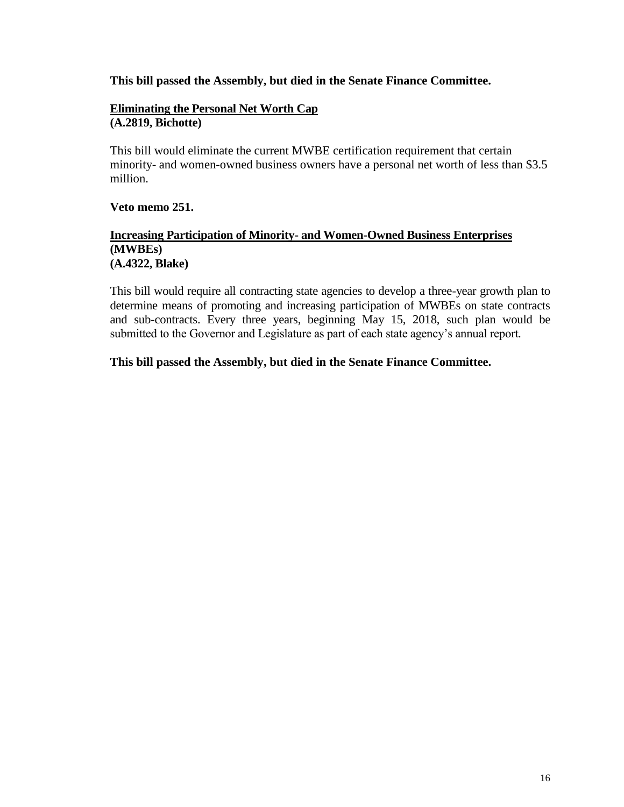### **This bill passed the Assembly, but died in the Senate Finance Committee.**

#### **Eliminating the Personal Net Worth Cap (A.2819, Bichotte)**

This bill would eliminate the current MWBE certification requirement that certain minority- and women-owned business owners have a personal net worth of less than \$3.5 million.

### **Veto memo 251.**

### **Increasing Participation of Minority- and Women-Owned Business Enterprises (MWBEs) (A.4322, Blake)**

This bill would require all contracting state agencies to develop a three-year growth plan to determine means of promoting and increasing participation of MWBEs on state contracts and sub-contracts. Every three years, beginning May 15, 2018, such plan would be submitted to the Governor and Legislature as part of each state agency's annual report.

## **This bill passed the Assembly, but died in the Senate Finance Committee.**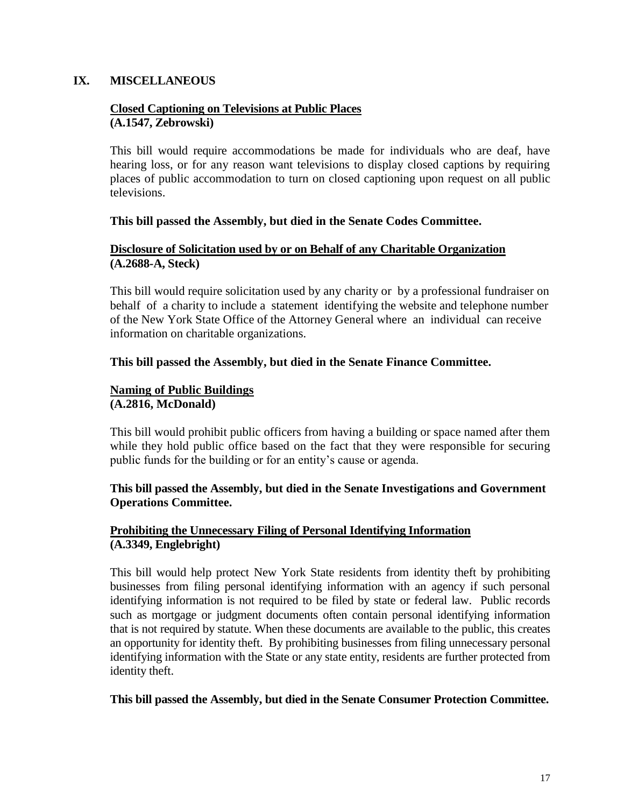#### **IX. MISCELLANEOUS**

### **Closed Captioning on Televisions at Public Places (A.1547, Zebrowski)**

This bill would require accommodations be made for individuals who are deaf, have hearing loss, or for any reason want televisions to display closed captions by requiring places of public accommodation to turn on closed captioning upon request on all public televisions.

#### **This bill passed the Assembly, but died in the Senate Codes Committee.**

## **Disclosure of Solicitation used by or on Behalf of any Charitable Organization (A.2688-A, Steck)**

This bill would require solicitation used by any charity or by a professional fundraiser on behalf of a charity to include a statement identifying the website and telephone number of the New York State Office of the Attorney General where an individual can receive information on charitable organizations.

## **This bill passed the Assembly, but died in the Senate Finance Committee.**

## **Naming of Public Buildings (A.2816, McDonald)**

This bill would prohibit public officers from having a building or space named after them while they hold public office based on the fact that they were responsible for securing public funds for the building or for an entity's cause or agenda.

## **This bill passed the Assembly, but died in the Senate Investigations and Government Operations Committee.**

## **Prohibiting the Unnecessary Filing of Personal Identifying Information (A.3349, Englebright)**

This bill would help protect New York State residents from identity theft by prohibiting businesses from filing personal identifying information with an agency if such personal identifying information is not required to be filed by state or federal law. Public records such as mortgage or judgment documents often contain personal identifying information that is not required by statute. When these documents are available to the public, this creates an opportunity for identity theft. By prohibiting businesses from filing unnecessary personal identifying information with the State or any state entity, residents are further protected from identity theft.

#### **This bill passed the Assembly, but died in the Senate Consumer Protection Committee.**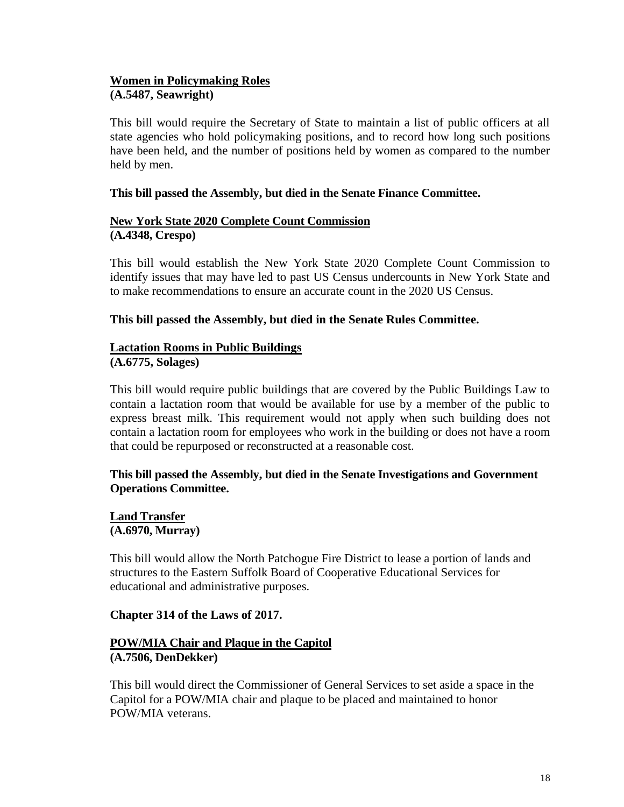## **Women in Policymaking Roles (A.5487, Seawright)**

This bill would require the Secretary of State to maintain a list of public officers at all state agencies who hold policymaking positions, and to record how long such positions have been held, and the number of positions held by women as compared to the number held by men.

## **This bill passed the Assembly, but died in the Senate Finance Committee.**

## **New York State 2020 Complete Count Commission (A.4348, Crespo)**

This bill would establish the New York State 2020 Complete Count Commission to identify issues that may have led to past US Census undercounts in New York State and to make recommendations to ensure an accurate count in the 2020 US Census.

## **This bill passed the Assembly, but died in the Senate Rules Committee.**

## **Lactation Rooms in Public Buildings**

**(A.6775, Solages)** 

This bill would require public buildings that are covered by the Public Buildings Law to contain a lactation room that would be available for use by a member of the public to express breast milk. This requirement would not apply when such building does not contain a lactation room for employees who work in the building or does not have a room that could be repurposed or reconstructed at a reasonable cost.

## **This bill passed the Assembly, but died in the Senate Investigations and Government Operations Committee.**

**Land Transfer (A.6970, Murray)** 

This bill would allow the North Patchogue Fire District to lease a portion of lands and structures to the Eastern Suffolk Board of Cooperative Educational Services for educational and administrative purposes.

## **Chapter 314 of the Laws of 2017.**

## **POW/MIA Chair and Plaque in the Capitol (A.7506, DenDekker)**

This bill would direct the Commissioner of General Services to set aside a space in the Capitol for a POW/MIA chair and plaque to be placed and maintained to honor POW/MIA veterans.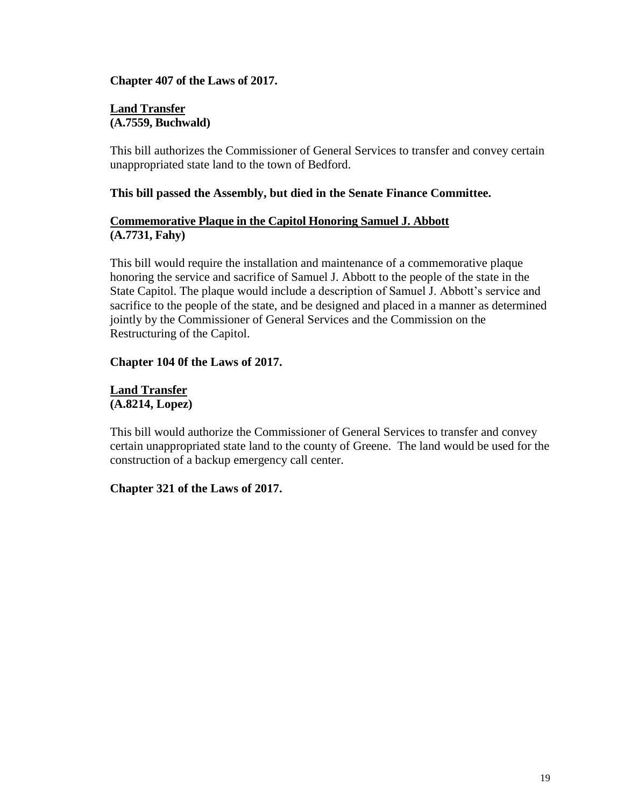## **Chapter 407 of the Laws of 2017.**

#### **Land Transfer (A.7559, Buchwald)**

This bill authorizes the Commissioner of General Services to transfer and convey certain unappropriated state land to the town of Bedford.

## **This bill passed the Assembly, but died in the Senate Finance Committee.**

## **Commemorative Plaque in the Capitol Honoring Samuel J. Abbott (A.7731, Fahy)**

This bill would require the installation and maintenance of a commemorative plaque honoring the service and sacrifice of Samuel J. Abbott to the people of the state in the State Capitol. The plaque would include a description of Samuel J. Abbott's service and sacrifice to the people of the state, and be designed and placed in a manner as determined jointly by the Commissioner of General Services and the Commission on the Restructuring of the Capitol.

## **Chapter 104 0f the Laws of 2017.**

### **Land Transfer (A.8214, Lopez)**

This bill would authorize the Commissioner of General Services to transfer and convey certain unappropriated state land to the county of Greene. The land would be used for the construction of a backup emergency call center.

## **Chapter 321 of the Laws of 2017.**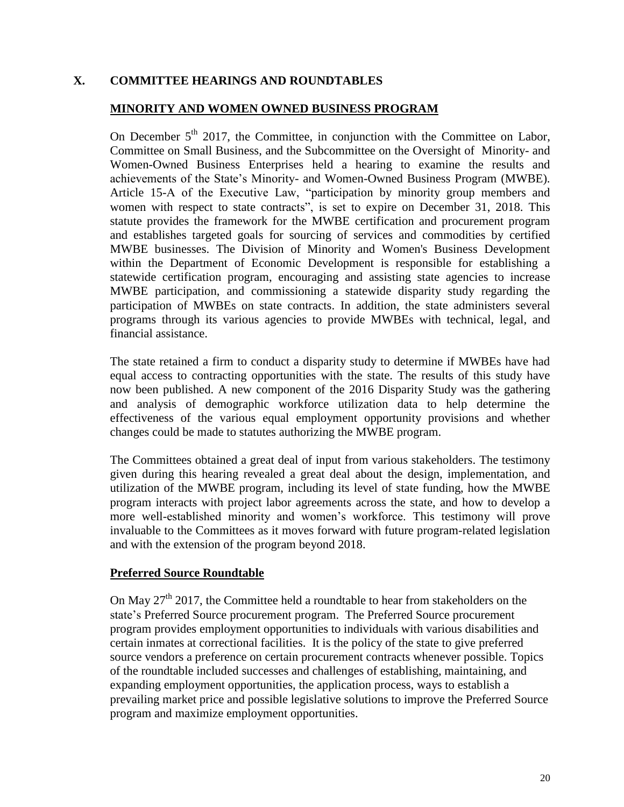## **X. COMMITTEE HEARINGS AND ROUNDTABLES**

## **MINORITY AND WOMEN OWNED BUSINESS PROGRAM**

On December  $5<sup>th</sup>$  2017, the Committee, in conjunction with the Committee on Labor, Committee on Small Business, and the Subcommittee on the Oversight of Minority- and Women-Owned Business Enterprises held a hearing to examine the results and achievements of the State's Minority- and Women-Owned Business Program (MWBE). Article 15-A of the Executive Law, "participation by minority group members and women with respect to state contracts", is set to expire on December 31, 2018. This statute provides the framework for the MWBE certification and procurement program and establishes targeted goals for sourcing of services and commodities by certified MWBE businesses. The Division of Minority and Women's Business Development within the Department of Economic Development is responsible for establishing a statewide certification program, encouraging and assisting state agencies to increase MWBE participation, and commissioning a statewide disparity study regarding the participation of MWBEs on state contracts. In addition, the state administers several programs through its various agencies to provide MWBEs with technical, legal, and financial assistance.

The state retained a firm to conduct a disparity study to determine if MWBEs have had equal access to contracting opportunities with the state. The results of this study have now been published. A new component of the 2016 Disparity Study was the gathering and analysis of demographic workforce utilization data to help determine the effectiveness of the various equal employment opportunity provisions and whether changes could be made to statutes authorizing the MWBE program.

The Committees obtained a great deal of input from various stakeholders. The testimony given during this hearing revealed a great deal about the design, implementation, and utilization of the MWBE program, including its level of state funding, how the MWBE program interacts with project labor agreements across the state, and how to develop a more well-established minority and women's workforce. This testimony will prove invaluable to the Committees as it moves forward with future program-related legislation and with the extension of the program beyond 2018.

#### **Preferred Source Roundtable**

On May  $27<sup>th</sup>$  2017, the Committee held a roundtable to hear from stakeholders on the state's Preferred Source procurement program. The Preferred Source procurement program provides employment opportunities to individuals with various disabilities and certain inmates at correctional facilities. It is the policy of the state to give preferred source vendors a preference on certain procurement contracts whenever possible. Topics of the roundtable included successes and challenges of establishing, maintaining, and expanding employment opportunities, the application process, ways to establish a prevailing market price and possible legislative solutions to improve the Preferred Source program and maximize employment opportunities.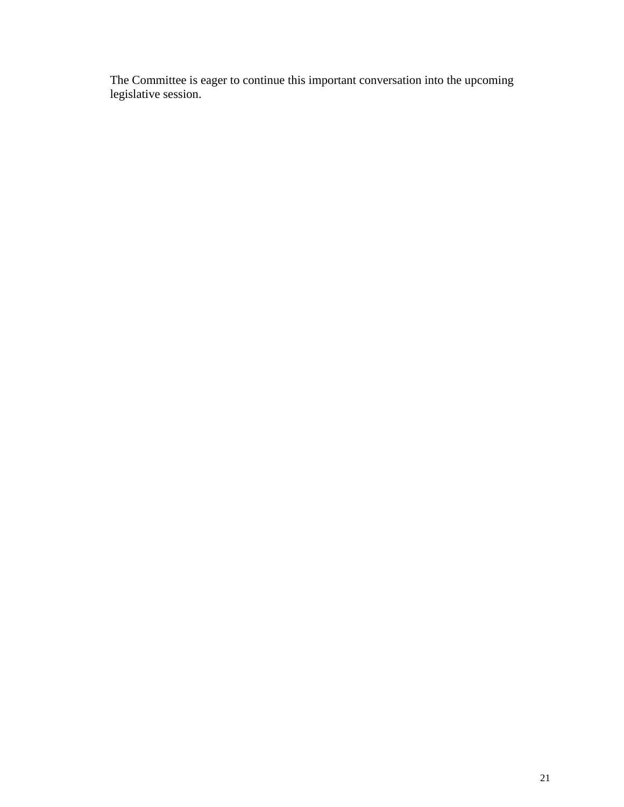The Committee is eager to continue this important conversation into the upcoming legislative session.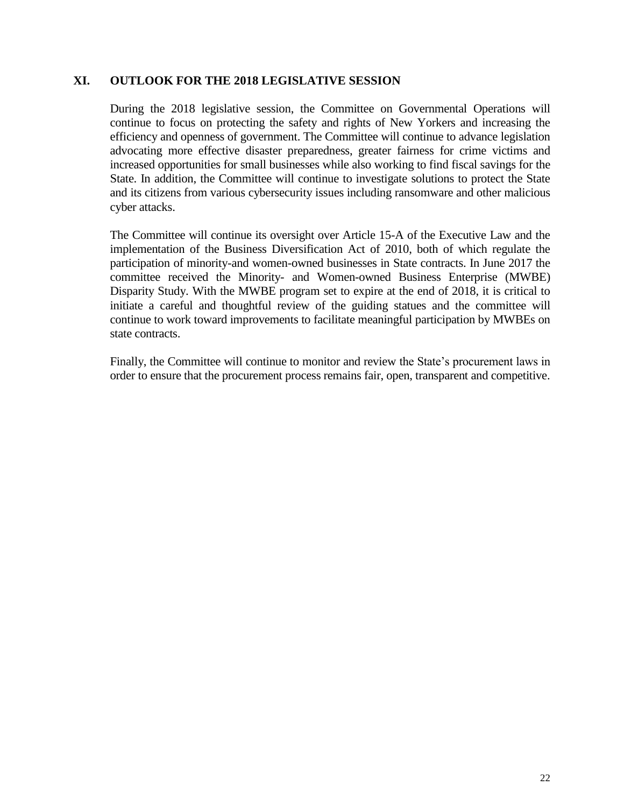#### **XI. OUTLOOK FOR THE 2018 LEGISLATIVE SESSION**

During the 2018 legislative session, the Committee on Governmental Operations will continue to focus on protecting the safety and rights of New Yorkers and increasing the efficiency and openness of government. The Committee will continue to advance legislation advocating more effective disaster preparedness, greater fairness for crime victims and increased opportunities for small businesses while also working to find fiscal savings for the State. In addition, the Committee will continue to investigate solutions to protect the State and its citizens from various cybersecurity issues including ransomware and other malicious cyber attacks.

The Committee will continue its oversight over Article 15-A of the Executive Law and the implementation of the Business Diversification Act of 2010, both of which regulate the participation of minority-and women-owned businesses in State contracts. In June 2017 the committee received the Minority- and Women-owned Business Enterprise (MWBE) Disparity Study. With the MWBE program set to expire at the end of 2018, it is critical to initiate a careful and thoughtful review of the guiding statues and the committee will continue to work toward improvements to facilitate meaningful participation by MWBEs on state contracts.

Finally, the Committee will continue to monitor and review the State's procurement laws in order to ensure that the procurement process remains fair, open, transparent and competitive.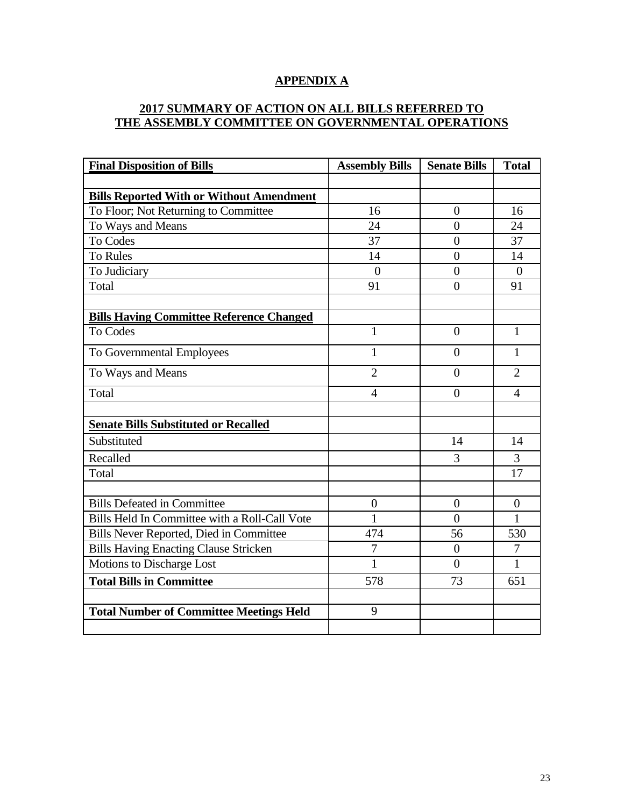## **APPENDIX A**

## **2017 SUMMARY OF ACTION ON ALL BILLS REFERRED TO THE ASSEMBLY COMMITTEE ON GOVERNMENTAL OPERATIONS**

| <b>Final Disposition of Bills</b>               | <b>Assembly Bills</b> | <b>Senate Bills</b> | <b>Total</b>   |
|-------------------------------------------------|-----------------------|---------------------|----------------|
|                                                 |                       |                     |                |
| <b>Bills Reported With or Without Amendment</b> |                       |                     |                |
| To Floor; Not Returning to Committee            | 16                    | $\overline{0}$      | 16             |
| To Ways and Means                               | 24                    | $\theta$            | 24             |
| <b>To Codes</b>                                 | 37                    | $\overline{0}$      | 37             |
| <b>To Rules</b>                                 | 14                    | $\overline{0}$      | 14             |
| To Judiciary                                    | $\overline{0}$        | $\overline{0}$      | $\theta$       |
| Total                                           | 91                    | $\overline{0}$      | 91             |
|                                                 |                       |                     |                |
| <b>Bills Having Committee Reference Changed</b> |                       |                     |                |
| To Codes                                        | $\mathbf{1}$          | $\overline{0}$      | $\mathbf{1}$   |
| To Governmental Employees                       | $\mathbf{1}$          | $\theta$            | $\mathbf{1}$   |
| To Ways and Means                               | $\overline{2}$        | $\overline{0}$      | $\overline{2}$ |
| Total                                           | 4                     | $\theta$            | $\overline{4}$ |
|                                                 |                       |                     |                |
| <b>Senate Bills Substituted or Recalled</b>     |                       |                     |                |
| Substituted                                     |                       | 14                  | 14             |
| Recalled                                        |                       | 3                   | 3              |
| Total                                           |                       |                     | 17             |
|                                                 |                       |                     |                |
| <b>Bills Defeated in Committee</b>              | $\overline{0}$        | $\overline{0}$      | $\theta$       |
| Bills Held In Committee with a Roll-Call Vote   | 1                     | $\theta$            | 1              |
| Bills Never Reported, Died in Committee         | 474                   | 56                  | 530            |
| <b>Bills Having Enacting Clause Stricken</b>    | $\overline{7}$        | $\overline{0}$      | 7              |
| Motions to Discharge Lost                       | 1                     | $\theta$            | $\mathbf{1}$   |
| <b>Total Bills in Committee</b>                 | 578                   | 73                  | 651            |
|                                                 |                       |                     |                |
| <b>Total Number of Committee Meetings Held</b>  | 9                     |                     |                |
|                                                 |                       |                     |                |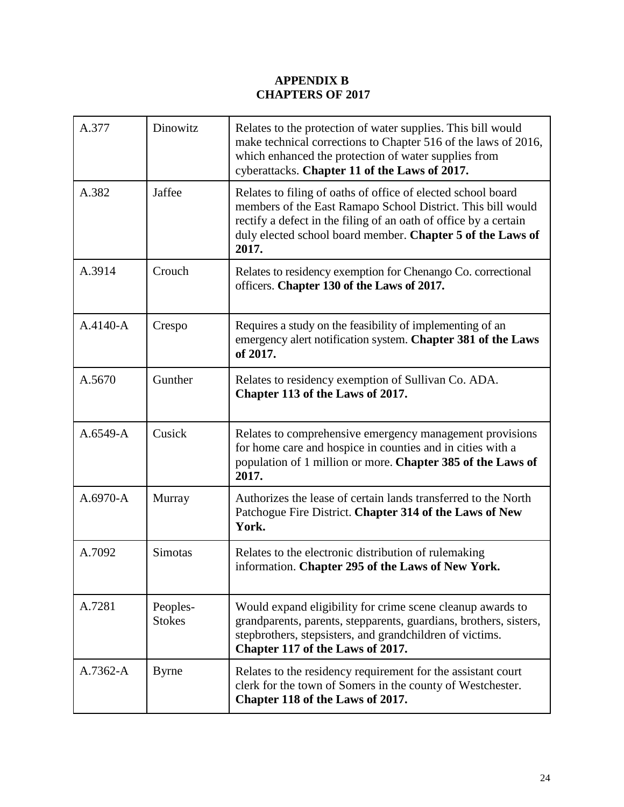## **APPENDIX B CHAPTERS OF 2017**

| A.377        | Dinowitz                  | Relates to the protection of water supplies. This bill would<br>make technical corrections to Chapter 516 of the laws of 2016,<br>which enhanced the protection of water supplies from<br>cyberattacks. Chapter 11 of the Laws of 2017.                                |
|--------------|---------------------------|------------------------------------------------------------------------------------------------------------------------------------------------------------------------------------------------------------------------------------------------------------------------|
| A.382        | Jaffee                    | Relates to filing of oaths of office of elected school board<br>members of the East Ramapo School District. This bill would<br>rectify a defect in the filing of an oath of office by a certain<br>duly elected school board member. Chapter 5 of the Laws of<br>2017. |
| A.3914       | Crouch                    | Relates to residency exemption for Chenango Co. correctional<br>officers. Chapter 130 of the Laws of 2017.                                                                                                                                                             |
| $A.4140 - A$ | Crespo                    | Requires a study on the feasibility of implementing of an<br>emergency alert notification system. Chapter 381 of the Laws<br>of 2017.                                                                                                                                  |
| A.5670       | Gunther                   | Relates to residency exemption of Sullivan Co. ADA.<br>Chapter 113 of the Laws of 2017.                                                                                                                                                                                |
| $A.6549 - A$ | Cusick                    | Relates to comprehensive emergency management provisions<br>for home care and hospice in counties and in cities with a<br>population of 1 million or more. Chapter 385 of the Laws of<br>2017.                                                                         |
| $A.6970 - A$ | Murray                    | Authorizes the lease of certain lands transferred to the North<br>Patchogue Fire District. Chapter 314 of the Laws of New<br>York.                                                                                                                                     |
| A.7092       | Simotas                   | Relates to the electronic distribution of rulemaking<br>information. Chapter 295 of the Laws of New York.                                                                                                                                                              |
| A.7281       | Peoples-<br><b>Stokes</b> | Would expand eligibility for crime scene cleanup awards to<br>grandparents, parents, stepparents, guardians, brothers, sisters,<br>stepbrothers, stepsisters, and grandchildren of victims.<br>Chapter 117 of the Laws of 2017.                                        |
| A.7362-A     | <b>Byrne</b>              | Relates to the residency requirement for the assistant court<br>clerk for the town of Somers in the county of Westchester.<br>Chapter 118 of the Laws of 2017.                                                                                                         |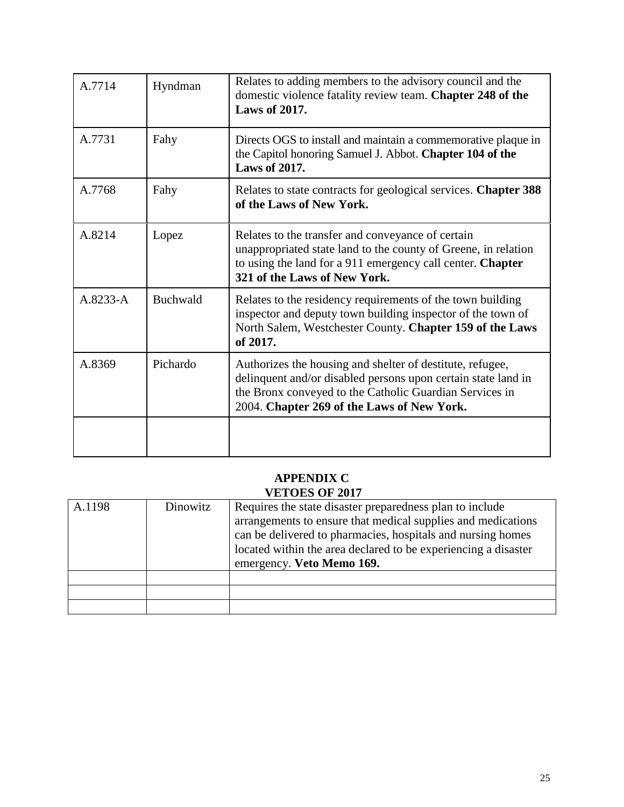| A.7714       | Hyndman         | Relates to adding members to the advisory council and the<br>domestic violence fatality review team. Chapter 248 of the<br><b>Laws of 2017.</b>                                                                                     |
|--------------|-----------------|-------------------------------------------------------------------------------------------------------------------------------------------------------------------------------------------------------------------------------------|
| A.7731       | Fahy            | Directs OGS to install and maintain a commemorative plaque in<br>the Capitol honoring Samuel J. Abbot. Chapter 104 of the<br><b>Laws of 2017.</b>                                                                                   |
| A.7768       | Fahy            | Relates to state contracts for geological services. Chapter 388<br>of the Laws of New York.                                                                                                                                         |
| A.8214       | Lopez           | Relates to the transfer and conveyance of certain<br>unappropriated state land to the county of Greene, in relation<br>to using the land for a 911 emergency call center. Chapter<br>321 of the Laws of New York.                   |
| $A.8233 - A$ | <b>Buchwald</b> | Relates to the residency requirements of the town building<br>inspector and deputy town building inspector of the town of<br>North Salem, Westchester County. Chapter 159 of the Laws<br>of 2017.                                   |
| A.8369       | Pichardo        | Authorizes the housing and shelter of destitute, refugee,<br>delinquent and/or disabled persons upon certain state land in<br>the Bronx conveyed to the Catholic Guardian Services in<br>2004. Chapter 269 of the Laws of New York. |
|              |                 |                                                                                                                                                                                                                                     |

#### **APPENDIX C VETOES OF 2017**

| Dinowitz | Requires the state disaster preparedness plan to include                                                                    |  |
|----------|-----------------------------------------------------------------------------------------------------------------------------|--|
|          | arrangements to ensure that medical supplies and medications<br>can be delivered to pharmacies, hospitals and nursing homes |  |
|          |                                                                                                                             |  |
|          | located within the area declared to be experiencing a disaster                                                              |  |
|          | emergency. Veto Memo 169.                                                                                                   |  |
|          |                                                                                                                             |  |
|          |                                                                                                                             |  |
|          |                                                                                                                             |  |
|          |                                                                                                                             |  |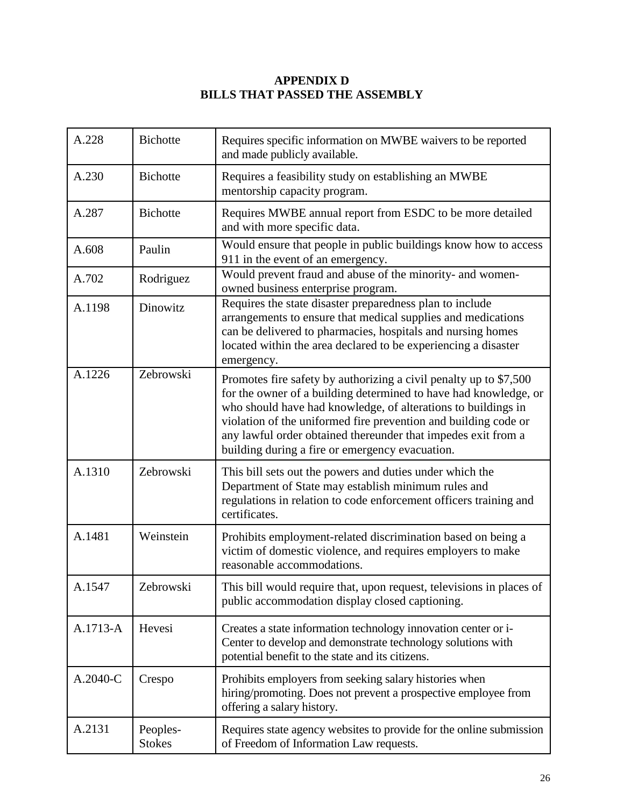# **APPENDIX D BILLS THAT PASSED THE ASSEMBLY**

| A.228    | <b>Bichotte</b>           | Requires specific information on MWBE waivers to be reported<br>and made publicly available.                                                                                                                                                                                                                                                                                                  |
|----------|---------------------------|-----------------------------------------------------------------------------------------------------------------------------------------------------------------------------------------------------------------------------------------------------------------------------------------------------------------------------------------------------------------------------------------------|
| A.230    | <b>Bichotte</b>           | Requires a feasibility study on establishing an MWBE<br>mentorship capacity program.                                                                                                                                                                                                                                                                                                          |
| A.287    | <b>Bichotte</b>           | Requires MWBE annual report from ESDC to be more detailed<br>and with more specific data.                                                                                                                                                                                                                                                                                                     |
| A.608    | Paulin                    | Would ensure that people in public buildings know how to access<br>911 in the event of an emergency.                                                                                                                                                                                                                                                                                          |
| A.702    | Rodriguez                 | Would prevent fraud and abuse of the minority- and women-<br>owned business enterprise program.                                                                                                                                                                                                                                                                                               |
| A.1198   | Dinowitz                  | Requires the state disaster preparedness plan to include<br>arrangements to ensure that medical supplies and medications<br>can be delivered to pharmacies, hospitals and nursing homes<br>located within the area declared to be experiencing a disaster<br>emergency.                                                                                                                       |
| A.1226   | Zebrowski                 | Promotes fire safety by authorizing a civil penalty up to \$7,500<br>for the owner of a building determined to have had knowledge, or<br>who should have had knowledge, of alterations to buildings in<br>violation of the uniformed fire prevention and building code or<br>any lawful order obtained thereunder that impedes exit from a<br>building during a fire or emergency evacuation. |
| A.1310   | Zebrowski                 | This bill sets out the powers and duties under which the<br>Department of State may establish minimum rules and<br>regulations in relation to code enforcement officers training and<br>certificates.                                                                                                                                                                                         |
| A.1481   | Weinstein                 | Prohibits employment-related discrimination based on being a<br>victim of domestic violence, and requires employers to make<br>reasonable accommodations.                                                                                                                                                                                                                                     |
| A.1547   | Zebrowski                 | This bill would require that, upon request, televisions in places of<br>public accommodation display closed captioning.                                                                                                                                                                                                                                                                       |
| A.1713-A | Hevesi                    | Creates a state information technology innovation center or i-<br>Center to develop and demonstrate technology solutions with<br>potential benefit to the state and its citizens.                                                                                                                                                                                                             |
| A.2040-C | Crespo                    | Prohibits employers from seeking salary histories when<br>hiring/promoting. Does not prevent a prospective employee from<br>offering a salary history.                                                                                                                                                                                                                                        |
| A.2131   | Peoples-<br><b>Stokes</b> | Requires state agency websites to provide for the online submission<br>of Freedom of Information Law requests.                                                                                                                                                                                                                                                                                |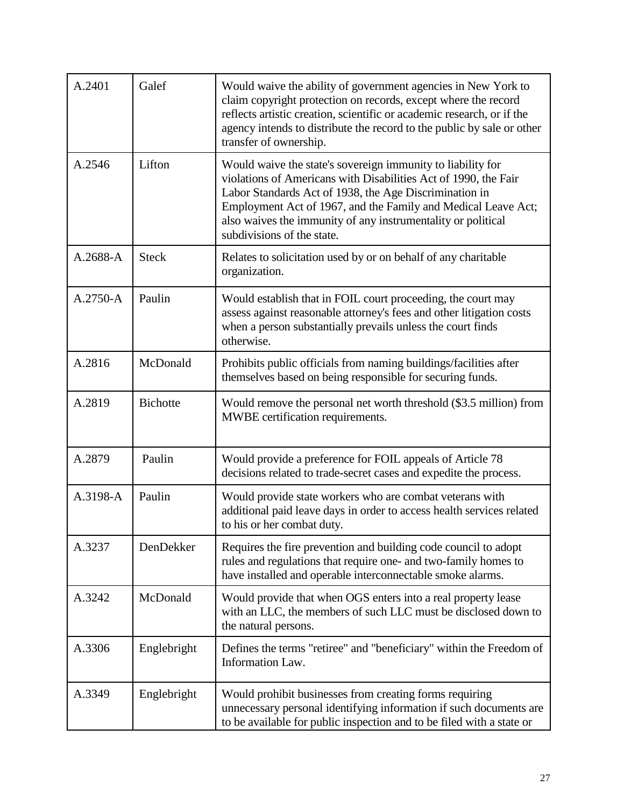| A.2401   | Galef           | Would waive the ability of government agencies in New York to<br>claim copyright protection on records, except where the record<br>reflects artistic creation, scientific or academic research, or if the<br>agency intends to distribute the record to the public by sale or other<br>transfer of ownership.                                           |
|----------|-----------------|---------------------------------------------------------------------------------------------------------------------------------------------------------------------------------------------------------------------------------------------------------------------------------------------------------------------------------------------------------|
| A.2546   | Lifton          | Would waive the state's sovereign immunity to liability for<br>violations of Americans with Disabilities Act of 1990, the Fair<br>Labor Standards Act of 1938, the Age Discrimination in<br>Employment Act of 1967, and the Family and Medical Leave Act;<br>also waives the immunity of any instrumentality or political<br>subdivisions of the state. |
| A.2688-A | <b>Steck</b>    | Relates to solicitation used by or on behalf of any charitable<br>organization.                                                                                                                                                                                                                                                                         |
| A.2750-A | Paulin          | Would establish that in FOIL court proceeding, the court may<br>assess against reasonable attorney's fees and other litigation costs<br>when a person substantially prevails unless the court finds<br>otherwise.                                                                                                                                       |
| A.2816   | McDonald        | Prohibits public officials from naming buildings/facilities after<br>themselves based on being responsible for securing funds.                                                                                                                                                                                                                          |
| A.2819   | <b>Bichotte</b> | Would remove the personal net worth threshold (\$3.5 million) from<br>MWBE certification requirements.                                                                                                                                                                                                                                                  |
| A.2879   | Paulin          | Would provide a preference for FOIL appeals of Article 78<br>decisions related to trade-secret cases and expedite the process.                                                                                                                                                                                                                          |
| A.3198-A | Paulin          | Would provide state workers who are combat veterans with<br>additional paid leave days in order to access health services related<br>to his or her combat duty.                                                                                                                                                                                         |
| A.3237   | DenDekker       | Requires the fire prevention and building code council to adopt<br>rules and regulations that require one- and two-family homes to<br>have installed and operable interconnectable smoke alarms.                                                                                                                                                        |
| A.3242   | McDonald        | Would provide that when OGS enters into a real property lease<br>with an LLC, the members of such LLC must be disclosed down to<br>the natural persons.                                                                                                                                                                                                 |
| A.3306   | Englebright     | Defines the terms "retiree" and "beneficiary" within the Freedom of<br><b>Information Law.</b>                                                                                                                                                                                                                                                          |
| A.3349   | Englebright     | Would prohibit businesses from creating forms requiring<br>unnecessary personal identifying information if such documents are<br>to be available for public inspection and to be filed with a state or                                                                                                                                                  |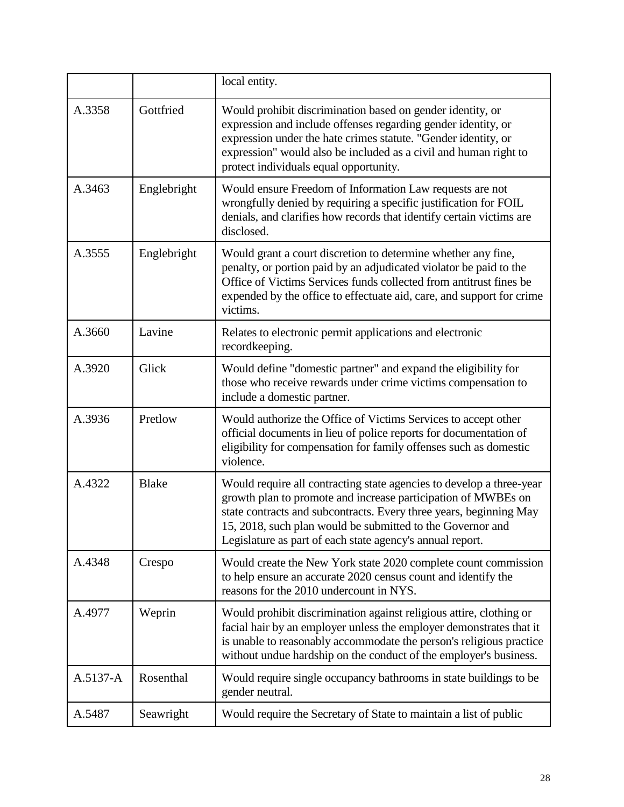|          |              | local entity.                                                                                                                                                                                                                                                                                                                          |
|----------|--------------|----------------------------------------------------------------------------------------------------------------------------------------------------------------------------------------------------------------------------------------------------------------------------------------------------------------------------------------|
| A.3358   | Gottfried    | Would prohibit discrimination based on gender identity, or<br>expression and include offenses regarding gender identity, or<br>expression under the hate crimes statute. "Gender identity, or<br>expression" would also be included as a civil and human right to<br>protect individuals equal opportunity.                            |
| A.3463   | Englebright  | Would ensure Freedom of Information Law requests are not<br>wrongfully denied by requiring a specific justification for FOIL<br>denials, and clarifies how records that identify certain victims are<br>disclosed.                                                                                                                     |
| A.3555   | Englebright  | Would grant a court discretion to determine whether any fine,<br>penalty, or portion paid by an adjudicated violator be paid to the<br>Office of Victims Services funds collected from antitrust fines be<br>expended by the office to effectuate aid, care, and support for crime<br>victims.                                         |
| A.3660   | Lavine       | Relates to electronic permit applications and electronic<br>recordkeeping.                                                                                                                                                                                                                                                             |
| A.3920   | Glick        | Would define "domestic partner" and expand the eligibility for<br>those who receive rewards under crime victims compensation to<br>include a domestic partner.                                                                                                                                                                         |
| A.3936   | Pretlow      | Would authorize the Office of Victims Services to accept other<br>official documents in lieu of police reports for documentation of<br>eligibility for compensation for family offenses such as domestic<br>violence.                                                                                                                  |
| A.4322   | <b>Blake</b> | Would require all contracting state agencies to develop a three-year<br>growth plan to promote and increase participation of MWBEs on<br>state contracts and subcontracts. Every three years, beginning May<br>15, 2018, such plan would be submitted to the Governor and<br>Legislature as part of each state agency's annual report. |
| A.4348   | Crespo       | Would create the New York state 2020 complete count commission<br>to help ensure an accurate 2020 census count and identify the<br>reasons for the 2010 undercount in NYS.                                                                                                                                                             |
| A.4977   | Weprin       | Would prohibit discrimination against religious attire, clothing or<br>facial hair by an employer unless the employer demonstrates that it<br>is unable to reasonably accommodate the person's religious practice<br>without undue hardship on the conduct of the employer's business.                                                 |
| A.5137-A | Rosenthal    | Would require single occupancy bathrooms in state buildings to be<br>gender neutral.                                                                                                                                                                                                                                                   |
| A.5487   | Seawright    | Would require the Secretary of State to maintain a list of public                                                                                                                                                                                                                                                                      |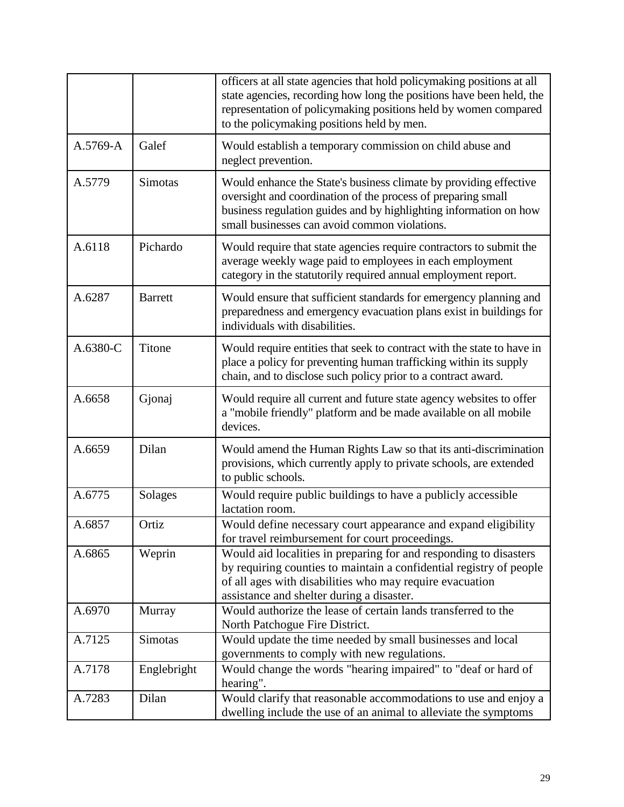|          |                | officers at all state agencies that hold policymaking positions at all<br>state agencies, recording how long the positions have been held, the<br>representation of policymaking positions held by women compared<br>to the policymaking positions held by men. |
|----------|----------------|-----------------------------------------------------------------------------------------------------------------------------------------------------------------------------------------------------------------------------------------------------------------|
| A.5769-A | Galef          | Would establish a temporary commission on child abuse and<br>neglect prevention.                                                                                                                                                                                |
| A.5779   | Simotas        | Would enhance the State's business climate by providing effective<br>oversight and coordination of the process of preparing small<br>business regulation guides and by highlighting information on how<br>small businesses can avoid common violations.         |
| A.6118   | Pichardo       | Would require that state agencies require contractors to submit the<br>average weekly wage paid to employees in each employment<br>category in the statutorily required annual employment report.                                                               |
| A.6287   | <b>Barrett</b> | Would ensure that sufficient standards for emergency planning and<br>preparedness and emergency evacuation plans exist in buildings for<br>individuals with disabilities.                                                                                       |
| A.6380-C | Titone         | Would require entities that seek to contract with the state to have in<br>place a policy for preventing human trafficking within its supply<br>chain, and to disclose such policy prior to a contract award.                                                    |
| A.6658   | Gjonaj         | Would require all current and future state agency websites to offer<br>a "mobile friendly" platform and be made available on all mobile<br>devices.                                                                                                             |
| A.6659   | Dilan          | Would amend the Human Rights Law so that its anti-discrimination<br>provisions, which currently apply to private schools, are extended<br>to public schools.                                                                                                    |
| A.6775   | Solages        | Would require public buildings to have a publicly accessible<br>lactation room.                                                                                                                                                                                 |
| A.6857   | Ortiz          | Would define necessary court appearance and expand eligibility<br>for travel reimbursement for court proceedings.                                                                                                                                               |
| A.6865   | Weprin         | Would aid localities in preparing for and responding to disasters<br>by requiring counties to maintain a confidential registry of people<br>of all ages with disabilities who may require evacuation<br>assistance and shelter during a disaster.               |
| A.6970   | Murray         | Would authorize the lease of certain lands transferred to the<br>North Patchogue Fire District.                                                                                                                                                                 |
| A.7125   | Simotas        | Would update the time needed by small businesses and local<br>governments to comply with new regulations.                                                                                                                                                       |
| A.7178   | Englebright    | Would change the words "hearing impaired" to "deaf or hard of<br>hearing".                                                                                                                                                                                      |
| A.7283   | Dilan          | Would clarify that reasonable accommodations to use and enjoy a<br>dwelling include the use of an animal to alleviate the symptoms                                                                                                                              |